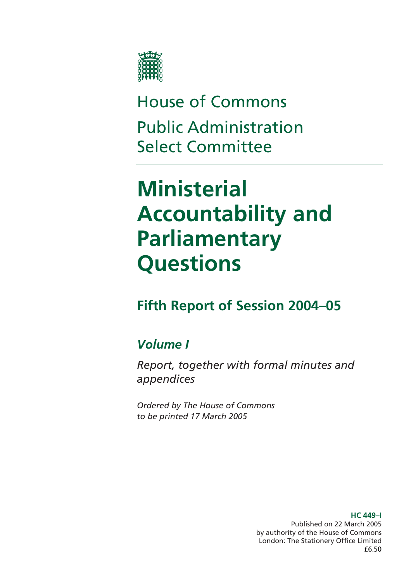

# House of Commons Public Administration Select Committee

# **Ministerial Accountability and Parliamentary Questions**

# **Fifth Report of Session 2004–05**

## *Volume I*

*Report, together with formal minutes and appendices* 

*Ordered by The House of Commons to be printed 17 March 2005* 

> **HC 449–I**  Published on 22 March 2005 by authority of the House of Commons London: The Stationery Office Limited £6.50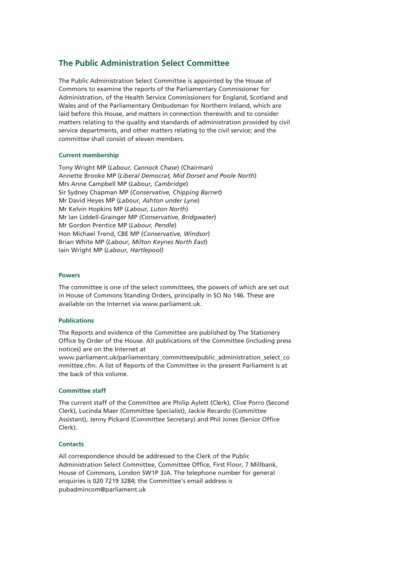#### **The Public Administration Select Committee**

The Public Administration Select Committee is appointed by the House of Commons to examine the reports of the Parliamentary Commissioner for Administration, of the Health Service Commissioners for England, Scotland and Wales and of the Parliamentary Ombudsman for Northern Ireland, which are laid before this House, and matters in connection therewith and to consider matters relating to the quality and standards of administration provided by civil service departments, and other matters relating to the civil service; and the committee shall consist of eleven members.

#### **Current membership**

Tony Wright MP (*Labour, Cannock Chase*) (Chairman) Annette Brooke MP (*Liberal Democrat, Mid Dorset and Poole North*) Mrs Anne Campbell MP (*Labour, Cambridge*) Sir Sydney Chapman MP (*Conservative, Chipping Barnet*) Mr David Heyes MP (*Labour, Ashton under Lyne*) Mr Kelvin Hopkins MP (*Labour, Luton North*) Mr Ian Liddell-Grainger MP *(Conservative, Bridgwater*) Mr Gordon Prentice MP (*Labour, Pendle*) Hon Michael Trend, CBE MP (*Conservative, Windsor*) Brian White MP (*Labour, Milton Keynes North East*) Iain Wright MP (*Labour, Hartlepool)*

#### **Powers**

The committee is one of the select committees, the powers of which are set out in House of Commons Standing Orders, principally in SO No 146. These are available on the Internet via www.parliament.uk.

#### **Publications**

The Reports and evidence of the Committee are published by The Stationery Office by Order of the House. All publications of the Committee (including press notices) are on the Internet at

www.parliament.uk/parliamentary\_committees/public\_administration\_select\_co mmittee.cfm. A list of Reports of the Committee in the present Parliament is at the back of this volume.

#### **Committee staff**

The current staff of the Committee are Philip Aylett (Clerk), Clive Porro (Second Clerk), Lucinda Maer (Committee Specialist), Jackie Recardo (Committee Assistant), Jenny Pickard (Committee Secretary) and Phil Jones (Senior Office Clerk).

#### **Contacts**

All correspondence should be addressed to the Clerk of the Public Administration Select Committee, Committee Office, First Floor, 7 Millbank, House of Commons, London SW1P 3JA. The telephone number for general enquiries is 020 7219 3284; the Committee's email address is pubadmincom@parliament.uk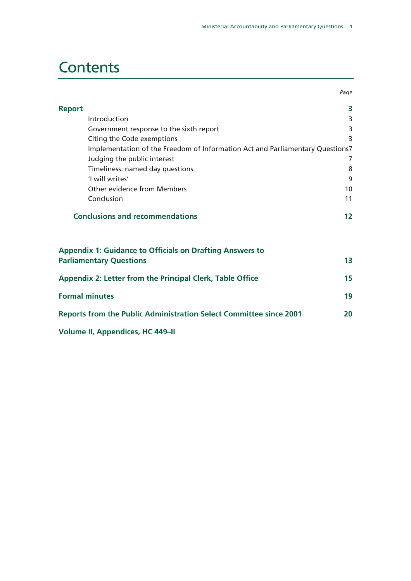# **Contents**

|                       |                                                                                                   | Page |
|-----------------------|---------------------------------------------------------------------------------------------------|------|
| <b>Report</b>         |                                                                                                   | 3    |
|                       | Introduction                                                                                      | 3    |
|                       | Government response to the sixth report                                                           | 3    |
|                       | Citing the Code exemptions                                                                        | 3    |
|                       | Implementation of the Freedom of Information Act and Parliamentary Questions7                     |      |
|                       | Judging the public interest                                                                       | 7    |
|                       | Timeliness: named day questions                                                                   | 8    |
|                       | 'I will writes'                                                                                   | 9    |
|                       | Other evidence from Members                                                                       | 10   |
|                       | Conclusion                                                                                        | 11   |
|                       | <b>Conclusions and recommendations</b>                                                            | 12   |
|                       | <b>Appendix 1: Guidance to Officials on Drafting Answers to</b><br><b>Parliamentary Questions</b> | 13   |
|                       | Appendix 2: Letter from the Principal Clerk, Table Office                                         | 15   |
| <b>Formal minutes</b> |                                                                                                   | 19   |
|                       | <b>Reports from the Public Administration Select Committee since 2001</b>                         | 20   |
|                       | <b>Volume II, Appendices, HC 449-II</b>                                                           |      |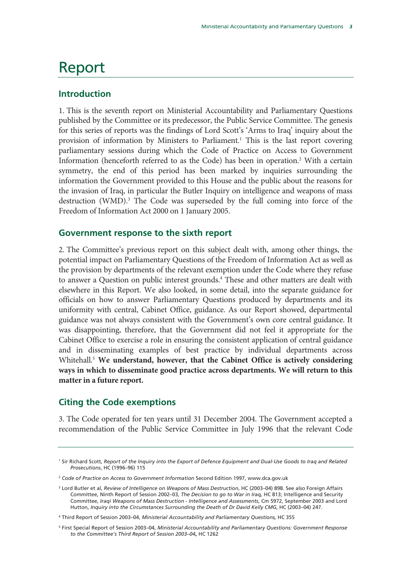# Report

### **Introduction**

1. This is the seventh report on Ministerial Accountability and Parliamentary Questions published by the Committee or its predecessor, the Public Service Committee. The genesis for this series of reports was the findings of Lord Scott's 'Arms to Iraq' inquiry about the provision of information by Ministers to Parliament.<sup>1</sup> This is the last report covering parliamentary sessions during which the Code of Practice on Access to Government Information (henceforth referred to as the Code) has been in operation.<sup>2</sup> With a certain symmetry, the end of this period has been marked by inquiries surrounding the information the Government provided to this House and the public about the reasons for the invasion of Iraq, in particular the Butler Inquiry on intelligence and weapons of mass destruction (WMD).<sup>3</sup> The Code was superseded by the full coming into force of the Freedom of Information Act 2000 on 1 January 2005.

#### **Government response to the sixth report**

2. The Committee's previous report on this subject dealt with, among other things, the potential impact on Parliamentary Questions of the Freedom of Information Act as well as the provision by departments of the relevant exemption under the Code where they refuse to answer a Question on public interest grounds.<sup>4</sup> These and other matters are dealt with elsewhere in this Report. We also looked, in some detail, into the separate guidance for officials on how to answer Parliamentary Questions produced by departments and its uniformity with central, Cabinet Office, guidance. As our Report showed, departmental guidance was not always consistent with the Government's own core central guidance. It was disappointing, therefore, that the Government did not feel it appropriate for the Cabinet Office to exercise a role in ensuring the consistent application of central guidance and in disseminating examples of best practice by individual departments across Whitehall.5 **We understand, however, that the Cabinet Office is actively considering ways in which to disseminate good practice across departments. We will return to this matter in a future report.**

### **Citing the Code exemptions**

3. The Code operated for ten years until 31 December 2004. The Government accepted a recommendation of the Public Service Committee in July 1996 that the relevant Code

<sup>1</sup> Sir Richard Scott, *Report of the Inquiry into the Export of Defence Equipment and Dual-Use Goods to Iraq and Related Prosecutions*, HC (1996–96) 115

<sup>2</sup> *Code of Practice on Access to Government Information* Second Edition 1997, www.dca.gov.uk

<sup>&</sup>lt;sup>3</sup> Lord Butler et al, *Review of Intelligence on Weapons of Mass Destruction*, HC (2003-04) 898. See also Foreign Affairs Committee, Ninth Report of Session 2002–03, *The Decision to go to War in Iraq,* HC 813; Intelligence and Security Committee, *Iraqi Weapons of Mass Destruction - Intelligence and Assessments*, Cm 5972, September 2003 and Lord Hutton, *Inquiry into the Circumstances Surrounding the Death of Dr David Kelly CMG*, HC (2003–04) 247.

<sup>4</sup> Third Report of Session 2003–04, *Ministerial Accountability and Parliamentary Questions,* HC 355

<sup>5</sup> First Special Report of Session 2003–04, *Ministerial Accountability and Parliamentary Questions: Government Response to the Committee's Third Report of Session 2003–04***,** HC 1262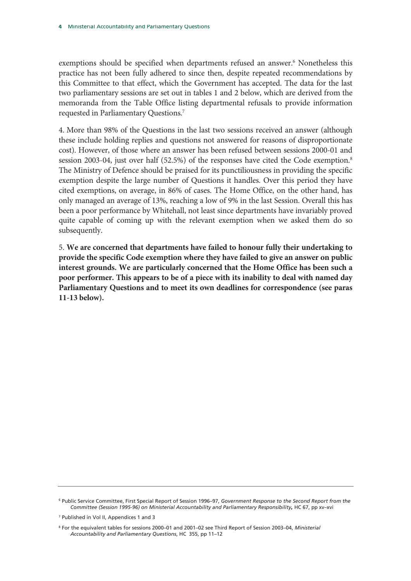exemptions should be specified when departments refused an answer.<sup>6</sup> Nonetheless this practice has not been fully adhered to since then, despite repeated recommendations by this Committee to that effect, which the Government has accepted. The data for the last two parliamentary sessions are set out in tables 1 and 2 below, which are derived from the memoranda from the Table Office listing departmental refusals to provide information requested in Parliamentary Questions.<sup>7</sup>

4. More than 98% of the Questions in the last two sessions received an answer (although these include holding replies and questions not answered for reasons of disproportionate cost). However, of those where an answer has been refused between sessions 2000-01 and session 2003-04, just over half (52.5%) of the responses have cited the Code exemption.<sup>8</sup> The Ministry of Defence should be praised for its punctiliousness in providing the specific exemption despite the large number of Questions it handles. Over this period they have cited exemptions, on average, in 86% of cases. The Home Office, on the other hand, has only managed an average of 13%, reaching a low of 9% in the last Session. Overall this has been a poor performance by Whitehall, not least since departments have invariably proved quite capable of coming up with the relevant exemption when we asked them do so subsequently.

5. **We are concerned that departments have failed to honour fully their undertaking to provide the specific Code exemption where they have failed to give an answer on public interest grounds. We are particularly concerned that the Home Office has been such a poor performer. This appears to be of a piece with its inability to deal with named day Parliamentary Questions and to meet its own deadlines for correspondence (see paras 11-13 below).** 

<sup>6</sup> Public Service Committee, First Special Report of Session 1996–97, *Government Response to the Second Report from the Committee (Session 1995-96) on Ministerial Accountability and Parliamentary Responsibility***,** HC 67, pp xv–xvi

<sup>7</sup> Published in Vol II, Appendices 1 and 3

<sup>8</sup> For the equivalent tables for sessions 2000–01 and 2001–02 see Third Report of Session 2003–04, *Ministerial Accountability and Parliamentary Questions*, HC 355, pp 11–12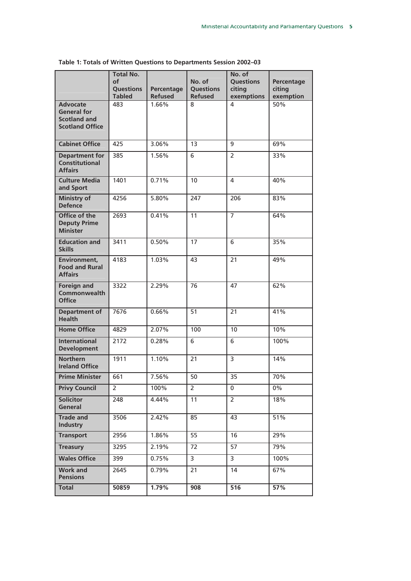|                                                                                        | <b>Total No.</b><br>of<br><b>Questions</b><br><b>Tabled</b> | Percentage<br><b>Refused</b> | No. of<br><b>Questions</b><br><b>Refused</b> | No. of<br><b>Questions</b><br>citing<br>exemptions | Percentage<br>citing<br>exemption |
|----------------------------------------------------------------------------------------|-------------------------------------------------------------|------------------------------|----------------------------------------------|----------------------------------------------------|-----------------------------------|
| <b>Advocate</b><br><b>General for</b><br><b>Scotland and</b><br><b>Scotland Office</b> | 483                                                         | 1.66%                        | 8                                            | 4                                                  | 50%                               |
| <b>Cabinet Office</b>                                                                  | 425                                                         | 3.06%                        | 13                                           | 9                                                  | 69%                               |
| <b>Department for</b><br><b>Constitutional</b><br><b>Affairs</b>                       | 385                                                         | 1.56%                        | 6                                            | $\overline{2}$                                     | 33%                               |
| <b>Culture Media</b><br>and Sport                                                      | 1401                                                        | 0.71%                        | 10                                           | 4                                                  | 40%                               |
| <b>Ministry of</b><br><b>Defence</b>                                                   | 4256                                                        | 5.80%                        | 247                                          | 206                                                | 83%                               |
| Office of the<br><b>Deputy Prime</b><br><b>Minister</b>                                | 2693                                                        | 0.41%                        | 11                                           | $\overline{7}$                                     | 64%                               |
| <b>Education and</b><br><b>Skills</b>                                                  | 3411                                                        | 0.50%                        | 17                                           | 6                                                  | 35%                               |
| Environment,<br><b>Food and Rural</b><br><b>Affairs</b>                                | 4183                                                        | 1.03%                        | 43                                           | 21                                                 | 49%                               |
| <b>Foreign and</b><br><b>Commonwealth</b><br><b>Office</b>                             | 3322                                                        | 2.29%                        | 76                                           | 47                                                 | 62%                               |
| <b>Department of</b><br><b>Health</b>                                                  | 7676                                                        | 0.66%                        | $\overline{51}$                              | 21                                                 | 41%                               |
| <b>Home Office</b>                                                                     | 4829                                                        | 2.07%                        | 100                                          | 10                                                 | 10%                               |
| <b>International</b><br><b>Development</b>                                             | 2172                                                        | 0.28%                        | 6                                            | $\overline{6}$                                     | 100%                              |
| <b>Northern</b><br><b>Ireland Office</b>                                               | 1911                                                        | 1.10%                        | 21                                           | 3                                                  | 14%                               |
| <b>Prime Minister</b>                                                                  | 661                                                         | 7.56%                        | 50                                           | 35                                                 | 70%                               |
| <b>Privy Council</b>                                                                   | 2                                                           | 100%                         | 2                                            | 0                                                  | 0%                                |
| Solicitor<br>General                                                                   | 248                                                         | 4.44%                        | 11                                           | $\overline{2}$                                     | 18%                               |
| <b>Trade and</b><br><b>Industry</b>                                                    | 3506                                                        | 2.42%                        | 85                                           | 43                                                 | 51%                               |
| <b>Transport</b>                                                                       | 2956                                                        | 1.86%                        | 55                                           | 16                                                 | 29%                               |
| <b>Treasury</b>                                                                        | 3295                                                        | 2.19%                        | 72                                           | 57                                                 | 79%                               |
| <b>Wales Office</b>                                                                    | 399                                                         | $0.75\%$                     | 3                                            | 3                                                  | 100%                              |
| <b>Work and</b><br><b>Pensions</b>                                                     | 2645                                                        | 0.79%                        | 21                                           | 14                                                 | 67%                               |
| <b>Total</b>                                                                           | 50859                                                       | 1.79%                        | 908                                          | 516                                                | 57%                               |

**Table 1: Totals of Written Questions to Departments Session 2002–03**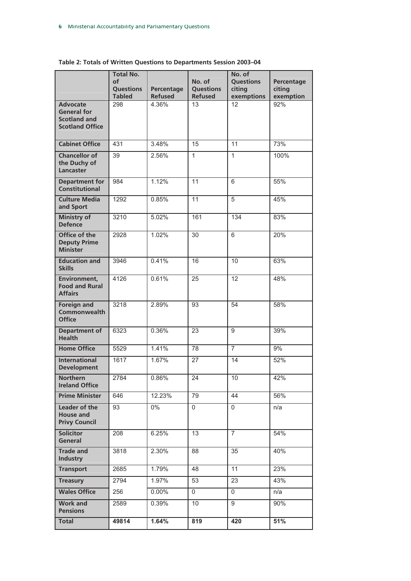|                                                                                        | <b>Total No.</b><br>of<br><b>Questions</b> | Percentage     | No. of<br><b>Questions</b> | No. of<br><b>Questions</b><br>citing | Percentage<br>citing |
|----------------------------------------------------------------------------------------|--------------------------------------------|----------------|----------------------------|--------------------------------------|----------------------|
|                                                                                        | <b>Tabled</b>                              | <b>Refused</b> | <b>Refused</b>             | exemptions                           | exemption            |
| <b>Advocate</b><br><b>General for</b><br><b>Scotland and</b><br><b>Scotland Office</b> | 298                                        | 4.36%          | $\overline{13}$            | 12                                   | 92%                  |
| <b>Cabinet Office</b>                                                                  | 431                                        | 3.48%          | 15                         | 11                                   | 73%                  |
| <b>Chancellor of</b><br>the Duchy of<br><b>Lancaster</b>                               | 39                                         | 2.56%          | $\mathbf{1}$               | $\mathbf{1}$                         | 100%                 |
| <b>Department for</b><br><b>Constitutional</b>                                         | 984                                        | 1.12%          | $\overline{11}$            | 6                                    | 55%                  |
| <b>Culture Media</b><br>and Sport                                                      | 1292                                       | 0.85%          | 11                         | 5                                    | 45%                  |
| <b>Ministry of</b><br><b>Defence</b>                                                   | 3210                                       | 5.02%          | 161                        | 134                                  | 83%                  |
| <b>Office of the</b><br><b>Deputy Prime</b><br><b>Minister</b>                         | 2928                                       | 1.02%          | $\overline{30}$            | 6                                    | 20%                  |
| <b>Education and</b><br><b>Skills</b>                                                  | 3946                                       | 0.41%          | 16                         | 10                                   | 63%                  |
| Environment,<br><b>Food and Rural</b><br><b>Affairs</b>                                | 4126                                       | 0.61%          | $\overline{25}$            | $\overline{12}$                      | 48%                  |
| <b>Foreign and</b><br>Commonwealth<br><b>Office</b>                                    | 3218                                       | 2.89%          | 93                         | 54                                   | 58%                  |
| <b>Department of</b><br><b>Health</b>                                                  | 6323                                       | 0.36%          | $\overline{23}$            | 9                                    | 39%                  |
| <b>Home Office</b>                                                                     | 5529                                       | 1.41%          | 78                         | $\overline{7}$                       | 9%                   |
| <b>International</b><br><b>Development</b>                                             | 1617                                       | 1.67%          | 27                         | 14                                   | 52%                  |
| <b>Northern</b><br><b>Ireland Office</b>                                               | 2784                                       | 0.86%          | $\overline{24}$            | 10                                   | 42%                  |
| <b>Prime Minister</b>                                                                  | 646                                        | 12.23%         | $\overline{7}9$            | 44                                   | 56%                  |
| Leader of the<br><b>House and</b><br><b>Privy Council</b>                              | 93                                         | $0\%$          | 0                          | $\mathbf 0$                          | n/a                  |
| <b>Solicitor</b><br>General                                                            | 208                                        | 6.25%          | 13                         | $\overline{7}$                       | 54%                  |
| <b>Trade and</b><br><b>Industry</b>                                                    | 3818                                       | 2.30%          | 88                         | 35                                   | 40%                  |
| <b>Transport</b>                                                                       | 2685                                       | 1.79%          | 48                         | 11                                   | 23%                  |
| <b>Treasury</b>                                                                        | 2794                                       | 1.97%          | 53                         | 23                                   | 43%                  |
| <b>Wales Office</b>                                                                    | 256                                        | 0.00%          | 0                          | $\mathbf 0$                          | n/a                  |
| <b>Work and</b><br><b>Pensions</b>                                                     | 2589                                       | 0.39%          | 10                         | 9                                    | 90%                  |
| <b>Total</b>                                                                           | 49814                                      | 1.64%          | 819                        | 420                                  | 51%                  |

**Table 2: Totals of Written Questions to Departments Session 2003–04**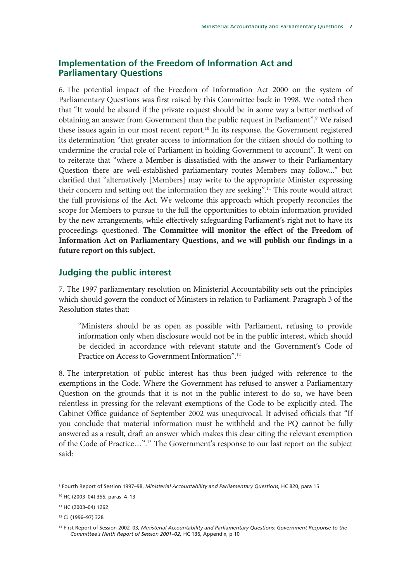### **Implementation of the Freedom of Information Act and Parliamentary Questions**

6. The potential impact of the Freedom of Information Act 2000 on the system of Parliamentary Questions was first raised by this Committee back in 1998. We noted then that "It would be absurd if the private request should be in some way a better method of obtaining an answer from Government than the public request in Parliament".<sup>9</sup> We raised these issues again in our most recent report.<sup>10</sup> In its response, the Government registered its determination "that greater access to information for the citizen should do nothing to undermine the crucial role of Parliament in holding Government to account". It went on to reiterate that "where a Member is dissatisfied with the answer to their Parliamentary Question there are well-established parliamentary routes Members may follow..." but clarified that "alternatively [Members] may write to the appropriate Minister expressing their concern and setting out the information they are seeking".<sup>11</sup> This route would attract the full provisions of the Act. We welcome this approach which properly reconciles the scope for Members to pursue to the full the opportunities to obtain information provided by the new arrangements, while effectively safeguarding Parliament's right not to have its proceedings questioned. **The Committee will monitor the effect of the Freedom of Information Act on Parliamentary Questions, and we will publish our findings in a future report on this subject.**

### **Judging the public interest**

7. The 1997 parliamentary resolution on Ministerial Accountability sets out the principles which should govern the conduct of Ministers in relation to Parliament. Paragraph 3 of the Resolution states that:

"Ministers should be as open as possible with Parliament, refusing to provide information only when disclosure would not be in the public interest, which should be decided in accordance with relevant statute and the Government's Code of Practice on Access to Government Information".12

8. The interpretation of public interest has thus been judged with reference to the exemptions in the Code. Where the Government has refused to answer a Parliamentary Question on the grounds that it is not in the public interest to do so, we have been relentless in pressing for the relevant exemptions of the Code to be explicitly cited. The Cabinet Office guidance of September 2002 was unequivocal. It advised officials that "If you conclude that material information must be withheld and the PQ cannot be fully answered as a result, draft an answer which makes this clear citing the relevant exemption of the Code of Practice…".13 The Government's response to our last report on the subject said:

<sup>9</sup> Fourth Report of Session 1997–98, *Ministerial Accountability and Parliamentary Questions*, HC 820, para 15

<sup>10</sup> HC (2003–04) 355, paras 4–13

<sup>11</sup> HC (2003–04) 1262

<sup>12</sup> CJ (1996–97) 328

<sup>13</sup> First Report of Session 2002–03, *Ministerial Accountability and Parliamentary Questions: Government Response to the Committee's Ninth Report of Session 2001–02***,** HC 136, Appendix, p 10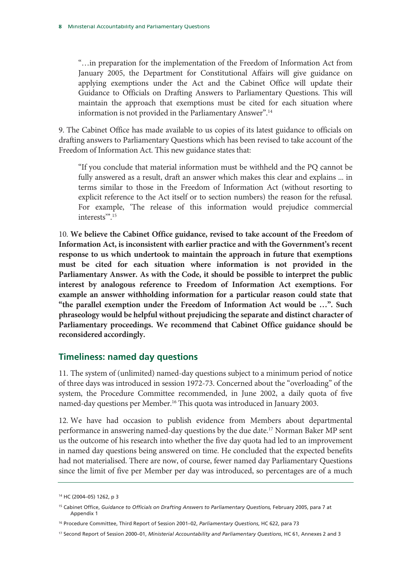"…in preparation for the implementation of the Freedom of Information Act from January 2005, the Department for Constitutional Affairs will give guidance on applying exemptions under the Act and the Cabinet Office will update their Guidance to Officials on Drafting Answers to Parliamentary Questions. This will maintain the approach that exemptions must be cited for each situation where information is not provided in the Parliamentary Answer".14

9. The Cabinet Office has made available to us copies of its latest guidance to officials on drafting answers to Parliamentary Questions which has been revised to take account of the Freedom of Information Act. This new guidance states that:

"If you conclude that material information must be withheld and the PQ cannot be fully answered as a result, draft an answer which makes this clear and explains ... in terms similar to those in the Freedom of Information Act (without resorting to explicit reference to the Act itself or to section numbers) the reason for the refusal. For example, 'The release of this information would prejudice commercial interests<sup>"".15</sup>

10. **We believe the Cabinet Office guidance, revised to take account of the Freedom of Information Act, is inconsistent with earlier practice and with the Government's recent response to us which undertook to maintain the approach in future that exemptions must be cited for each situation where information is not provided in the Parliamentary Answer. As with the Code, it should be possible to interpret the public interest by analogous reference to Freedom of Information Act exemptions. For example an answer withholding information for a particular reason could state that "the parallel exemption under the Freedom of Information Act would be …". Such phraseology would be helpful without prejudicing the separate and distinct character of Parliamentary proceedings. We recommend that Cabinet Office guidance should be reconsidered accordingly.**

### **Timeliness: named day questions**

11. The system of (unlimited) named-day questions subject to a minimum period of notice of three days was introduced in session 1972-73. Concerned about the "overloading" of the system, the Procedure Committee recommended, in June 2002, a daily quota of five named-day questions per Member.<sup>16</sup> This quota was introduced in January 2003.

12. We have had occasion to publish evidence from Members about departmental performance in answering named-day questions by the due date.<sup>17</sup> Norman Baker MP sent us the outcome of his research into whether the five day quota had led to an improvement in named day questions being answered on time. He concluded that the expected benefits had not materialised. There are now, of course, fewer named day Parliamentary Questions since the limit of five per Member per day was introduced, so percentages are of a much

<sup>14</sup> HC (2004–05) 1262, p 3

<sup>&</sup>lt;sup>15</sup> Cabinet Office, *Guidance to Officials on Drafting Answers to Parliamentary Questions, February 2005, para 7 at* Appendix 1

<sup>16</sup> Procedure Committee, Third Report of Session 2001–02, *Parliamentary Questions*, HC 622, para 73

<sup>17</sup> Second Report of Session 2000–01, *Ministerial Accountability and Parliamentary Questions*, HC 61, Annexes 2 and 3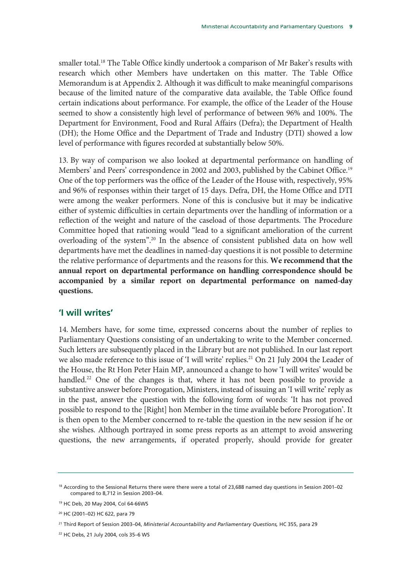smaller total.18 The Table Office kindly undertook a comparison of Mr Baker's results with research which other Members have undertaken on this matter. The Table Office Memorandum is at Appendix 2. Although it was difficult to make meaningful comparisons because of the limited nature of the comparative data available, the Table Office found certain indications about performance. For example, the office of the Leader of the House seemed to show a consistently high level of performance of between 96% and 100%. The Department for Environment, Food and Rural Affairs (Defra); the Department of Health (DH); the Home Office and the Department of Trade and Industry (DTI) showed a low level of performance with figures recorded at substantially below 50%.

13. By way of comparison we also looked at departmental performance on handling of Members' and Peers' correspondence in 2002 and 2003, published by the Cabinet Office.<sup>19</sup> One of the top performers was the office of the Leader of the House with, respectively, 95% and 96% of responses within their target of 15 days. Defra, DH, the Home Office and DTI were among the weaker performers. None of this is conclusive but it may be indicative either of systemic difficulties in certain departments over the handling of information or a reflection of the weight and nature of the caseload of those departments. The Procedure Committee hoped that rationing would "lead to a significant amelioration of the current overloading of the system".20 In the absence of consistent published data on how well departments have met the deadlines in named-day questions it is not possible to determine the relative performance of departments and the reasons for this. **We recommend that the annual report on departmental performance on handling correspondence should be accompanied by a similar report on departmental performance on named-day questions.**

### **'I will writes'**

14. Members have, for some time, expressed concerns about the number of replies to Parliamentary Questions consisting of an undertaking to write to the Member concerned. Such letters are subsequently placed in the Library but are not published. In our last report we also made reference to this issue of 'I will write' replies.<sup>21</sup> On 21 July 2004 the Leader of the House, the Rt Hon Peter Hain MP, announced a change to how 'I will writes' would be handled.<sup>22</sup> One of the changes is that, where it has not been possible to provide a substantive answer before Prorogation, Ministers, instead of issuing an 'I will write' reply as in the past, answer the question with the following form of words: 'It has not proved possible to respond to the [Right] hon Member in the time available before Prorogation'. It is then open to the Member concerned to re-table the question in the new session if he or she wishes. Although portrayed in some press reports as an attempt to avoid answering questions, the new arrangements, if operated properly, should provide for greater

<sup>&</sup>lt;sup>18</sup> According to the Sessional Returns there were there were a total of 23,688 named day questions in Session 2001–02 compared to 8,712 in Session 2003–04.

<sup>19</sup> HC Deb, 20 May 2004, Col 64-66WS

<sup>20</sup> HC (2001–02) HC 622, para 79

<sup>&</sup>lt;sup>21</sup> Third Report of Session 2003-04, *Ministerial Accountability and Parliamentary Questions,* HC 355, para 29

<sup>22</sup> HC Debs, 21 July 2004, cols 35–6 WS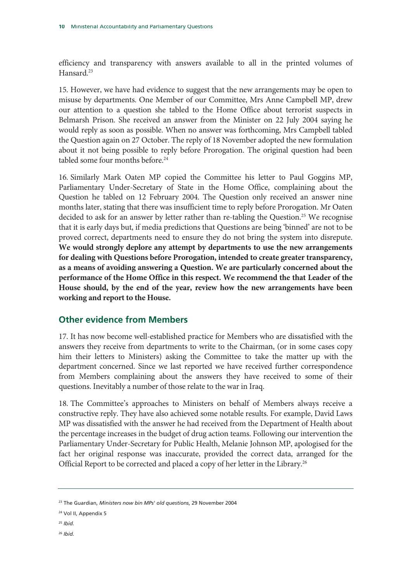efficiency and transparency with answers available to all in the printed volumes of Hansard.<sup>23</sup>

15. However, we have had evidence to suggest that the new arrangements may be open to misuse by departments. One Member of our Committee, Mrs Anne Campbell MP, drew our attention to a question she tabled to the Home Office about terrorist suspects in Belmarsh Prison. She received an answer from the Minister on 22 July 2004 saying he would reply as soon as possible. When no answer was forthcoming, Mrs Campbell tabled the Question again on 27 October. The reply of 18 November adopted the new formulation about it not being possible to reply before Prorogation. The original question had been tabled some four months before.<sup>24</sup>

16. Similarly Mark Oaten MP copied the Committee his letter to Paul Goggins MP, Parliamentary Under-Secretary of State in the Home Office, complaining about the Question he tabled on 12 February 2004. The Question only received an answer nine months later, stating that there was insufficient time to reply before Prorogation. Mr Oaten decided to ask for an answer by letter rather than re-tabling the Question.<sup>25</sup> We recognise that it is early days but, if media predictions that Questions are being 'binned' are not to be proved correct, departments need to ensure they do not bring the system into disrepute. **We would strongly deplore any attempt by departments to use the new arrangements for dealing with Questions before Prorogation, intended to create greater transparency, as a means of avoiding answering a Question. We are particularly concerned about the performance of the Home Office in this respect. We recommend the that Leader of the House should, by the end of the year, review how the new arrangements have been working and report to the House.**

## **Other evidence from Members**

17. It has now become well-established practice for Members who are dissatisfied with the answers they receive from departments to write to the Chairman, (or in some cases copy him their letters to Ministers) asking the Committee to take the matter up with the department concerned. Since we last reported we have received further correspondence from Members complaining about the answers they have received to some of their questions. Inevitably a number of those relate to the war in Iraq.

18. The Committee's approaches to Ministers on behalf of Members always receive a constructive reply. They have also achieved some notable results. For example, David Laws MP was dissatisfied with the answer he had received from the Department of Health about the percentage increases in the budget of drug action teams. Following our intervention the Parliamentary Under-Secretary for Public Health, Melanie Johnson MP, apologised for the fact her original response was inaccurate, provided the correct data, arranged for the Official Report to be corrected and placed a copy of her letter in the Library.<sup>26</sup>

- <sup>25</sup> *Ibid.*
- <sup>26</sup> *Ibid.*

<sup>23</sup> The Guardian, *Ministers now bin MPs' old questions*, 29 November 2004

<sup>24</sup> Vol II, Appendix 5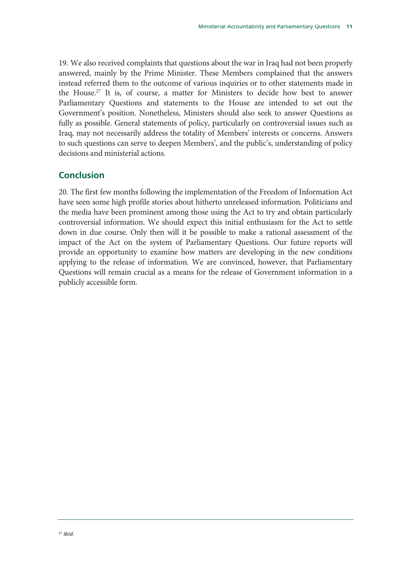19. We also received complaints that questions about the war in Iraq had not been properly answered, mainly by the Prime Minister. These Members complained that the answers instead referred them to the outcome of various inquiries or to other statements made in the House.<sup>27</sup> It is, of course, a matter for Ministers to decide how best to answer Parliamentary Questions and statements to the House are intended to set out the Government's position. Nonetheless, Ministers should also seek to answer Questions as fully as possible. General statements of policy, particularly on controversial issues such as Iraq, may not necessarily address the totality of Members' interests or concerns. Answers to such questions can serve to deepen Members', and the public's, understanding of policy decisions and ministerial actions.

## **Conclusion**

20. The first few months following the implementation of the Freedom of Information Act have seen some high profile stories about hitherto unreleased information. Politicians and the media have been prominent among those using the Act to try and obtain particularly controversial information. We should expect this initial enthusiasm for the Act to settle down in due course. Only then will it be possible to make a rational assessment of the impact of the Act on the system of Parliamentary Questions. Our future reports will provide an opportunity to examine how matters are developing in the new conditions applying to the release of information. We are convinced, however, that Parliamentary Questions will remain crucial as a means for the release of Government information in a publicly accessible form.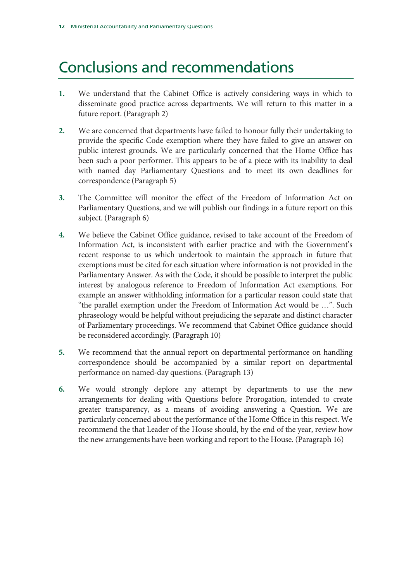# Conclusions and recommendations

- **1.** We understand that the Cabinet Office is actively considering ways in which to disseminate good practice across departments. We will return to this matter in a future report. (Paragraph 2)
- **2.** We are concerned that departments have failed to honour fully their undertaking to provide the specific Code exemption where they have failed to give an answer on public interest grounds. We are particularly concerned that the Home Office has been such a poor performer. This appears to be of a piece with its inability to deal with named day Parliamentary Questions and to meet its own deadlines for correspondence (Paragraph 5)
- **3.** The Committee will monitor the effect of the Freedom of Information Act on Parliamentary Questions, and we will publish our findings in a future report on this subject. (Paragraph 6)
- **4.** We believe the Cabinet Office guidance, revised to take account of the Freedom of Information Act, is inconsistent with earlier practice and with the Government's recent response to us which undertook to maintain the approach in future that exemptions must be cited for each situation where information is not provided in the Parliamentary Answer. As with the Code, it should be possible to interpret the public interest by analogous reference to Freedom of Information Act exemptions. For example an answer withholding information for a particular reason could state that "the parallel exemption under the Freedom of Information Act would be …". Such phraseology would be helpful without prejudicing the separate and distinct character of Parliamentary proceedings. We recommend that Cabinet Office guidance should be reconsidered accordingly. (Paragraph 10)
- **5.** We recommend that the annual report on departmental performance on handling correspondence should be accompanied by a similar report on departmental performance on named-day questions. (Paragraph 13)
- **6.** We would strongly deplore any attempt by departments to use the new arrangements for dealing with Questions before Prorogation, intended to create greater transparency, as a means of avoiding answering a Question. We are particularly concerned about the performance of the Home Office in this respect. We recommend the that Leader of the House should, by the end of the year, review how the new arrangements have been working and report to the House. (Paragraph 16)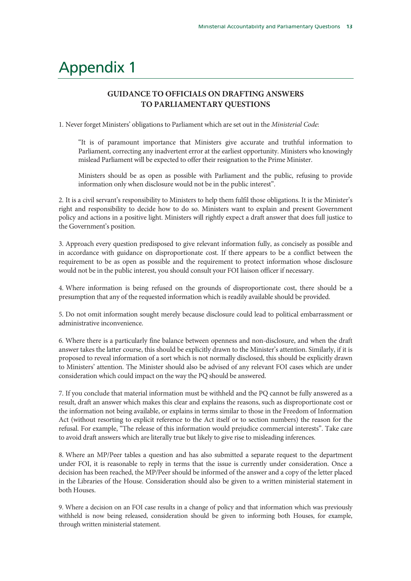# Appendix 1

### **GUIDANCE TO OFFICIALS ON DRAFTING ANSWERS TO PARLIAMENTARY QUESTIONS**

1. Never forget Ministers' obligations to Parliament which are set out in the *Ministerial Code*:

"It is of paramount importance that Ministers give accurate and truthful information to Parliament, correcting any inadvertent error at the earliest opportunity. Ministers who knowingly mislead Parliament will be expected to offer their resignation to the Prime Minister.

Ministers should be as open as possible with Parliament and the public, refusing to provide information only when disclosure would not be in the public interest".

2. It is a civil servant's responsibility to Ministers to help them fulfil those obligations. It is the Minister's right and responsibility to decide how to do so. Ministers want to explain and present Government policy and actions in a positive light. Ministers will rightly expect a draft answer that does full justice to the Government's position.

3. Approach every question predisposed to give relevant information fully, as concisely as possible and in accordance with guidance on disproportionate cost. If there appears to be a conflict between the requirement to be as open as possible and the requirement to protect information whose disclosure would not be in the public interest, you should consult your FOI liaison officer if necessary.

4. Where information is being refused on the grounds of disproportionate cost, there should be a presumption that any of the requested information which is readily available should be provided.

5. Do not omit information sought merely because disclosure could lead to political embarrassment or administrative inconvenience.

6. Where there is a particularly fine balance between openness and non-disclosure, and when the draft answer takes the latter course, this should be explicitly drawn to the Minister's attention. Similarly, if it is proposed to reveal information of a sort which is not normally disclosed, this should be explicitly drawn to Ministers' attention. The Minister should also be advised of any relevant FOI cases which are under consideration which could impact on the way the PQ should be answered.

7. If you conclude that material information must be withheld and the PQ cannot be fully answered as a result, draft an answer which makes this clear and explains the reasons, such as disproportionate cost or the information not being available, or explains in terms similar to those in the Freedom of Information Act (without resorting to explicit reference to the Act itself or to section numbers) the reason for the refusal. For example, "The release of this information would prejudice commercial interests". Take care to avoid draft answers which are literally true but likely to give rise to misleading inferences.

8. Where an MP/Peer tables a question and has also submitted a separate request to the department under FOI, it is reasonable to reply in terms that the issue is currently under consideration. Once a decision has been reached, the MP/Peer should be informed of the answer and a copy of the letter placed in the Libraries of the House. Consideration should also be given to a written ministerial statement in both Houses.

9. Where a decision on an FOI case results in a change of policy and that information which was previously withheld is now being released, consideration should be given to informing both Houses, for example, through written ministerial statement.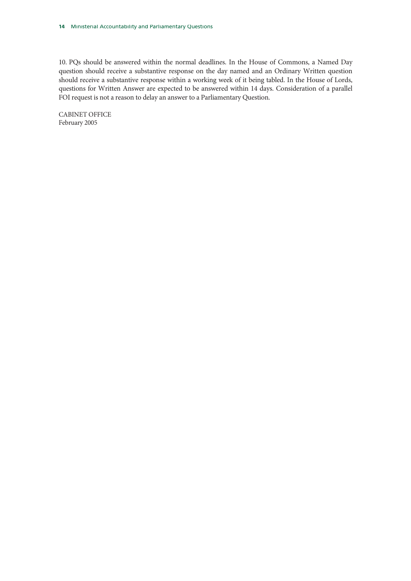10. PQs should be answered within the normal deadlines. In the House of Commons, a Named Day question should receive a substantive response on the day named and an Ordinary Written question should receive a substantive response within a working week of it being tabled. In the House of Lords, questions for Written Answer are expected to be answered within 14 days. Consideration of a parallel FOI request is not a reason to delay an answer to a Parliamentary Question.

CABINET OFFICE February 2005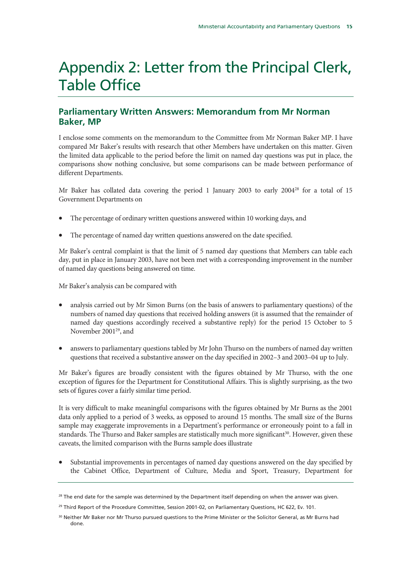# Appendix 2: Letter from the Principal Clerk, Table Office

### **Parliamentary Written Answers: Memorandum from Mr Norman Baker, MP**

I enclose some comments on the memorandum to the Committee from Mr Norman Baker MP. I have compared Mr Baker's results with research that other Members have undertaken on this matter. Given the limited data applicable to the period before the limit on named day questions was put in place, the comparisons show nothing conclusive, but some comparisons can be made between performance of different Departments.

Mr Baker has collated data covering the period 1 January 2003 to early  $2004^{28}$  for a total of 15 Government Departments on

- The percentage of ordinary written questions answered within 10 working days, and
- The percentage of named day written questions answered on the date specified.

Mr Baker's central complaint is that the limit of 5 named day questions that Members can table each day, put in place in January 2003, have not been met with a corresponding improvement in the number of named day questions being answered on time.

Mr Baker's analysis can be compared with

- analysis carried out by Mr Simon Burns (on the basis of answers to parliamentary questions) of the numbers of named day questions that received holding answers (it is assumed that the remainder of named day questions accordingly received a substantive reply) for the period 15 October to 5 November 2001<sup>29</sup>, and
- answers to parliamentary questions tabled by Mr John Thurso on the numbers of named day written questions that received a substantive answer on the day specified in 2002–3 and 2003–04 up to July.

Mr Baker's figures are broadly consistent with the figures obtained by Mr Thurso, with the one exception of figures for the Department for Constitutional Affairs. This is slightly surprising, as the two sets of figures cover a fairly similar time period.

It is very difficult to make meaningful comparisons with the figures obtained by Mr Burns as the 2001 data only applied to a period of 3 weeks, as opposed to around 15 months. The small size of the Burns sample may exaggerate improvements in a Department's performance or erroneously point to a fall in standards. The Thurso and Baker samples are statistically much more significant<sup>30</sup>. However, given these caveats, the limited comparison with the Burns sample does illustrate

x Substantial improvements in percentages of named day questions answered on the day specified by the Cabinet Office, Department of Culture, Media and Sport, Treasury, Department for

<sup>&</sup>lt;sup>28</sup> The end date for the sample was determined by the Department itself depending on when the answer was given.

<sup>&</sup>lt;sup>29</sup> Third Report of the Procedure Committee, Session 2001-02, on Parliamentary Questions, HC 622, Ev. 101.

<sup>&</sup>lt;sup>30</sup> Neither Mr Baker nor Mr Thurso pursued questions to the Prime Minister or the Solicitor General, as Mr Burns had done.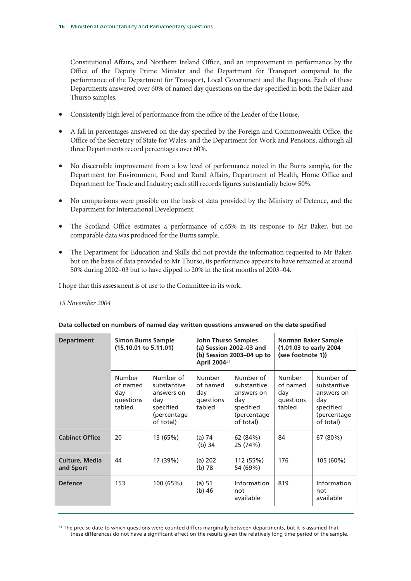Constitutional Affairs, and Northern Ireland Office, and an improvement in performance by the Office of the Deputy Prime Minister and the Department for Transport compared to the performance of the Department for Transport, Local Government and the Regions. Each of these Departments answered over 60% of named day questions on the day specified in both the Baker and Thurso samples.

- Consistently high level of performance from the office of the Leader of the House.
- x A fall in percentages answered on the day specified by the Foreign and Commonwealth Office, the Office of the Secretary of State for Wales, and the Department for Work and Pensions, although all three Departments record percentages over 60%.
- x No discernible improvement from a low level of performance noted in the Burns sample, for the Department for Environment, Food and Rural Affairs, Department of Health, Home Office and Department for Trade and Industry; each still records figures substantially below 50%.
- No comparisons were possible on the basis of data provided by the Ministry of Defence, and the Department for International Development.
- The Scotland Office estimates a performance of c.65% in its response to Mr Baker, but no comparable data was produced for the Burns sample.
- The Department for Education and Skills did not provide the information requested to Mr Baker, but on the basis of data provided to Mr Thurso, its performance appears to have remained at around 50% during 2002–03 but to have dipped to 20% in the first months of 2003–04.

I hope that this assessment is of use to the Committee in its work.

#### *15 November 2004*

| <b>Department</b>                  | <b>Simon Burns Sample</b><br>$(15.10.01 \text{ to } 5.11.01)$ |                                                                                        | <b>John Thurso Samples</b><br>(a) Session 2002-03 and<br>(b) Session 2003–04 up to<br>April 2004 <sup>31</sup> |                                                                                        | Norman Baker Sample<br>(1.01.03 to early 2004<br>(see footnote 1) |                                                                                        |
|------------------------------------|---------------------------------------------------------------|----------------------------------------------------------------------------------------|----------------------------------------------------------------------------------------------------------------|----------------------------------------------------------------------------------------|-------------------------------------------------------------------|----------------------------------------------------------------------------------------|
|                                    | <b>Number</b><br>of named<br>day<br>questions<br>tabled       | Number of<br>substantive<br>answers on<br>day<br>specified<br>(percentage<br>of total) | <b>Number</b><br>of named<br>day<br>questions<br>tabled                                                        | Number of<br>substantive<br>answers on<br>day<br>specified<br>(percentage<br>of total) | <b>Number</b><br>of named<br>day<br>questions<br>tabled           | Number of<br>substantive<br>answers on<br>day<br>specified<br>(percentage<br>of total) |
| <b>Cabinet Office</b>              | 20                                                            | 13 (65%)                                                                               | (a) 74<br>$(b)$ 34                                                                                             | 62 (84%)<br>25 (74%)                                                                   | 84                                                                | 67 (80%)                                                                               |
| <b>Culture, Media</b><br>and Sport | 44                                                            | 17 (39%)                                                                               | (a) 202<br>$(b)$ 78                                                                                            | 112 (55%)<br>54 (69%)                                                                  | 176                                                               | $105(60\%)$                                                                            |
| <b>Defence</b>                     | 153                                                           | 100 (65%)                                                                              | (a) 51<br>$(b)$ 46                                                                                             | Information<br>not<br>available                                                        | 819                                                               | Information<br>not<br>available                                                        |

#### **Data collected on numbers of named day written questions answered on the date specified**

<sup>31</sup> The precise date to which questions were counted differs marginally between departments, but it is assumed that these differences do not have a significant effect on the results given the relatively long time period of the sample.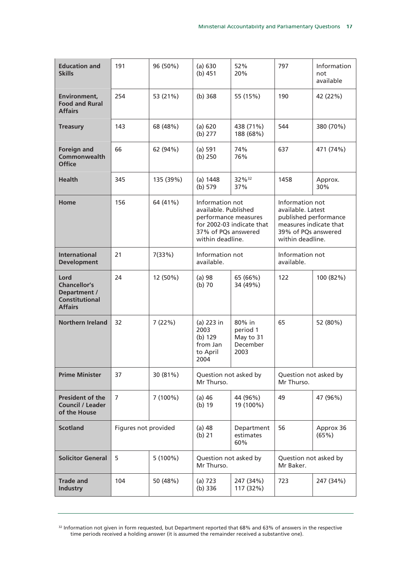| <b>Education and</b><br><b>Skills</b>                                                  | 191                  | 96 (50%)   | (a) 630<br>(b) 451                                                                                         | 52%<br>20%                                          | 797                                                                                                                                | Information<br>not<br>available |
|----------------------------------------------------------------------------------------|----------------------|------------|------------------------------------------------------------------------------------------------------------|-----------------------------------------------------|------------------------------------------------------------------------------------------------------------------------------------|---------------------------------|
| Environment.<br><b>Food and Rural</b><br><b>Affairs</b>                                | 254                  | 53 (21%)   | (b) 368                                                                                                    | 55 (15%)                                            | 190                                                                                                                                | 42 (22%)                        |
| <b>Treasury</b>                                                                        | 143                  | 68 (48%)   | (a) 620<br>(b) 277                                                                                         | 438 (71%)<br>188 (68%)                              | 544                                                                                                                                | 380 (70%)                       |
| <b>Foreign and</b><br>Commonwealth<br><b>Office</b>                                    | 66                   | 62 (94%)   | (a) 591<br>(b) 250                                                                                         | 74%<br>76%                                          | 637                                                                                                                                | 471 (74%)                       |
| <b>Health</b>                                                                          | 345                  | 135 (39%)  | (a) 1448<br>(b) 579                                                                                        | 32%32<br>37%                                        | 1458                                                                                                                               | Approx.<br>30%                  |
| Home                                                                                   | 156                  | 64 (41%)   | Information not<br>available. Published<br>performance measures<br>37% of PQs answered<br>within deadline. | for 2002-03 indicate that                           | Information not<br>available. Latest<br>published performance<br>measures indicate that<br>39% of PQs answered<br>within deadline. |                                 |
| <b>International</b><br><b>Development</b>                                             | 21                   | 7(33%)     | Information not<br>available.                                                                              |                                                     | Information not<br>available.                                                                                                      |                                 |
| Lord<br><b>Chancellor's</b><br>Department /<br><b>Constitutional</b><br><b>Affairs</b> | 24                   | 12 (50%)   | $(a)$ 98<br>$(b)$ 70                                                                                       | 65 (66%)<br>34 (49%)                                | 122                                                                                                                                | 100 (82%)                       |
| <b>Northern Ireland</b>                                                                | 32                   | 7(22%)     | (a) 223 in<br>2003<br>(b) 129<br>from Jan<br>to April<br>2004                                              | 80% in<br>period 1<br>May to 31<br>December<br>2003 | 65                                                                                                                                 | 52 (80%)                        |
| <b>Prime Minister</b>                                                                  | 37                   | 30 (81%)   | Question not asked by<br>Mr Thurso.                                                                        |                                                     | Question not asked by<br>Mr Thurso.                                                                                                |                                 |
| <b>President of the</b><br><b>Council / Leader</b><br>of the House                     | 7                    | $7(100\%)$ | $(a)$ 46<br>$(b)$ 19                                                                                       | 44 (96%)<br>19 (100%)                               | 49                                                                                                                                 | 47 (96%)                        |
| <b>Scotland</b>                                                                        | Figures not provided |            | $(a)$ 48<br>$(b)$ 21                                                                                       | Department<br>estimates<br>60%                      | 56                                                                                                                                 | Approx 36<br>(65%)              |
| <b>Solicitor General</b>                                                               | 5                    | $5(100\%)$ | Question not asked by<br>Mr Thurso.                                                                        |                                                     | Question not asked by<br>Mr Baker.                                                                                                 |                                 |
| <b>Trade and</b><br><b>Industry</b>                                                    | 104                  | 50 (48%)   | (a) 723<br>(b) 336                                                                                         | 247 (34%)<br>117 (32%)                              | 723                                                                                                                                | 247 (34%)                       |

 $32$  Information not given in form requested, but Department reported that 68% and 63% of answers in the respective time periods received a holding answer (it is assumed the remainder received a substantive one).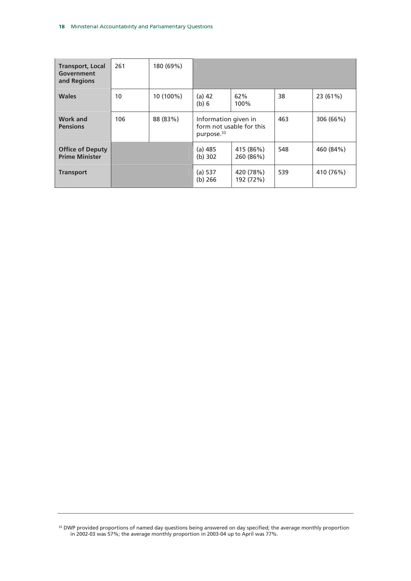| <b>Transport, Local</b><br>Government<br>and Regions | 261 | 180 (69%) |                                                                            |                        |     |           |
|------------------------------------------------------|-----|-----------|----------------------------------------------------------------------------|------------------------|-----|-----------|
| <b>Wales</b>                                         | 10  | 10 (100%) | $(a)$ 42<br>(b) 6                                                          | 62%<br>100%            | 38  | 23 (61%)  |
| <b>Work and</b><br><b>Pensions</b>                   | 106 | 88 (83%)  | Information given in<br>form not usable for this<br>purpose. <sup>33</sup> |                        | 463 | 306 (66%) |
| <b>Office of Deputy</b><br><b>Prime Minister</b>     |     |           | $(a)$ 485<br>(b) 302                                                       | 415 (86%)<br>260 (86%) | 548 | 460 (84%) |
| <b>Transport</b>                                     |     |           | (a) 537<br>(b) 266                                                         | 420 (78%)<br>192 (72%) | 539 | 410 (76%) |

<sup>33</sup> DWP provided proportions of named day questions being answered on day specified; the average monthly proportion in 2002-03 was 57%; the average monthly proportion in 2003-04 up to April was 77%.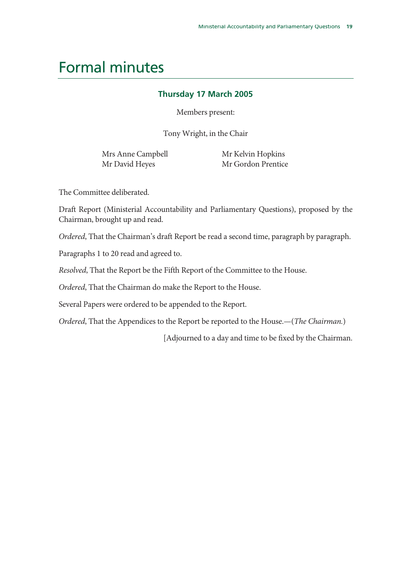# Formal minutes

### **Thursday 17 March 2005**

Members present:

Tony Wright, in the Chair

Mrs Anne Campbell Mr David Heyes

 Mr Kelvin Hopkins Mr Gordon Prentice

The Committee deliberated.

Draft Report (Ministerial Accountability and Parliamentary Questions), proposed by the Chairman, brought up and read.

*Ordered*, That the Chairman's draft Report be read a second time, paragraph by paragraph.

Paragraphs 1 to 20 read and agreed to.

*Resolved*, That the Report be the Fifth Report of the Committee to the House.

*Ordered*, That the Chairman do make the Report to the House.

Several Papers were ordered to be appended to the Report.

*Ordered*, That the Appendices to the Report be reported to the House.—(*The Chairman.*)

[Adjourned to a day and time to be fixed by the Chairman.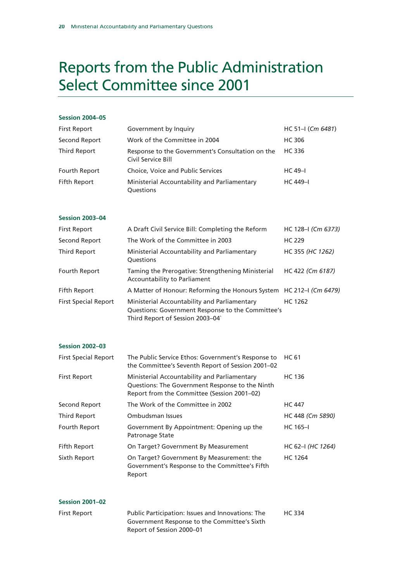# Reports from the Public Administration Select Committee since 2001

#### **Session 2004–05**

| <b>First Report</b> | Government by Inquiry                                                  | $HC 51-I (Cm 6481)$ |
|---------------------|------------------------------------------------------------------------|---------------------|
| Second Report       | Work of the Committee in 2004                                          | HC 306              |
| Third Report        | Response to the Government's Consultation on the<br>Civil Service Bill | HC 336              |
| Fourth Report       | Choice, Voice and Public Services                                      | $HC 49-1$           |
| Fifth Report        | Ministerial Accountability and Parliamentary<br><b>Ouestions</b>       | <b>HC</b> 449-1     |

#### **Session 2003–04**

| <b>First Report</b>         | A Draft Civil Service Bill: Completing the Reform                                                                                    | HC 128-I (Cm 6373) |
|-----------------------------|--------------------------------------------------------------------------------------------------------------------------------------|--------------------|
| Second Report               | The Work of the Committee in 2003                                                                                                    | <b>HC 229</b>      |
| Third Report                | Ministerial Accountability and Parliamentary<br>Questions                                                                            | HC 355 (HC 1262)   |
| Fourth Report               | Taming the Prerogative: Strengthening Ministerial<br>Accountability to Parliament                                                    | HC 422 (Cm 6187)   |
| Fifth Report                | A Matter of Honour: Reforming the Honours System HC 212–I (Cm 6479)                                                                  |                    |
| <b>First Special Report</b> | Ministerial Accountability and Parliamentary<br>Questions: Government Response to the Committee's<br>Third Report of Session 2003-04 | HC 1262            |

#### **Session 2002–03**

| <b>First Special Report</b> | The Public Service Ethos: Government's Response to<br>the Committee's Seventh Report of Session 2001-02                                        | HC 61             |
|-----------------------------|------------------------------------------------------------------------------------------------------------------------------------------------|-------------------|
| <b>First Report</b>         | Ministerial Accountability and Parliamentary<br>Questions: The Government Response to the Ninth<br>Report from the Committee (Session 2001-02) | <b>HC 136</b>     |
| Second Report               | The Work of the Committee in 2002                                                                                                              | <b>HC 447</b>     |
| Third Report                | Ombudsman Issues                                                                                                                               | HC 448 (Cm 5890)  |
| Fourth Report               | Government By Appointment: Opening up the<br>Patronage State                                                                                   | $HC 165 - I$      |
| <b>Fifth Report</b>         | On Target? Government By Measurement                                                                                                           | HC 62-I (HC 1264) |
| Sixth Report                | On Target? Government By Measurement: the<br>Government's Response to the Committee's Fifth<br>Report                                          | <b>HC 1264</b>    |

| <b>Session 2001-02</b> |                                                                                                                                |        |
|------------------------|--------------------------------------------------------------------------------------------------------------------------------|--------|
| First Report           | Public Participation: Issues and Innovations: The<br>Government Response to the Committee's Sixth<br>Report of Session 2000–01 | HC 334 |